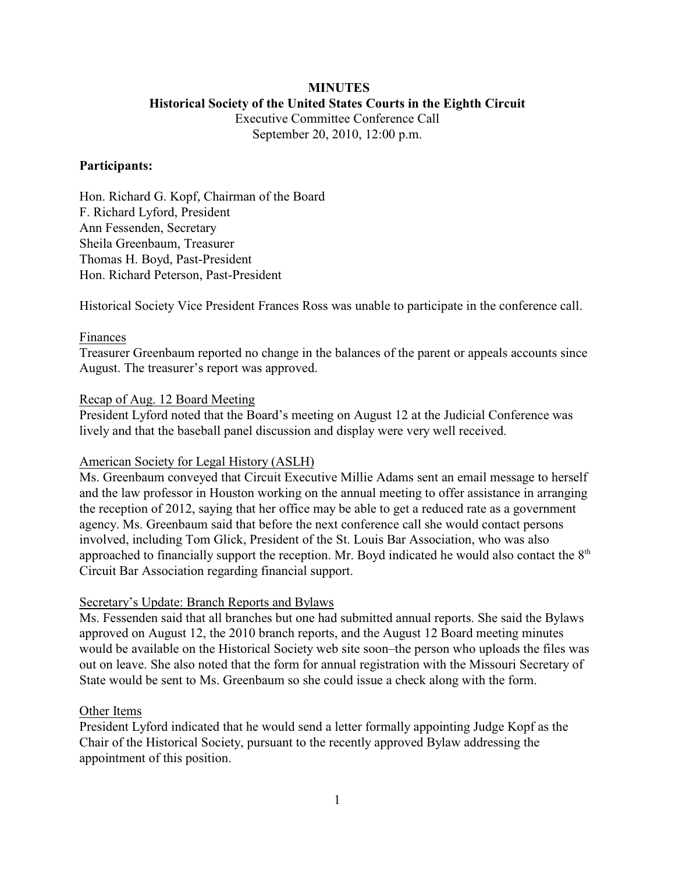## **MINUTES Historical Society of the United States Courts in the Eighth Circuit**

Executive Committee Conference Call September 20, 2010, 12:00 p.m.

#### **Participants:**

Hon. Richard G. Kopf, Chairman of the Board F. Richard Lyford, President Ann Fessenden, Secretary Sheila Greenbaum, Treasurer Thomas H. Boyd, Past-President Hon. Richard Peterson, Past-President

Historical Society Vice President Frances Ross was unable to participate in the conference call.

#### Finances

Treasurer Greenbaum reported no change in the balances of the parent or appeals accounts since August. The treasurer's report was approved.

#### Recap of Aug. 12 Board Meeting

President Lyford noted that the Board's meeting on August 12 at the Judicial Conference was lively and that the baseball panel discussion and display were very well received.

#### American Society for Legal History (ASLH)

Ms. Greenbaum conveyed that Circuit Executive Millie Adams sent an email message to herself and the law professor in Houston working on the annual meeting to offer assistance in arranging the reception of 2012, saying that her office may be able to get a reduced rate as a government agency. Ms. Greenbaum said that before the next conference call she would contact persons involved, including Tom Glick, President of the St. Louis Bar Association, who was also approached to financially support the reception. Mr. Boyd indicated he would also contact the 8<sup>th</sup> Circuit Bar Association regarding financial support.

### Secretary's Update: Branch Reports and Bylaws

Ms. Fessenden said that all branches but one had submitted annual reports. She said the Bylaws approved on August 12, the 2010 branch reports, and the August 12 Board meeting minutes would be available on the Historical Society web site soon–the person who uploads the files was out on leave. She also noted that the form for annual registration with the Missouri Secretary of State would be sent to Ms. Greenbaum so she could issue a check along with the form.

#### Other Items

President Lyford indicated that he would send a letter formally appointing Judge Kopf as the Chair of the Historical Society, pursuant to the recently approved Bylaw addressing the appointment of this position.